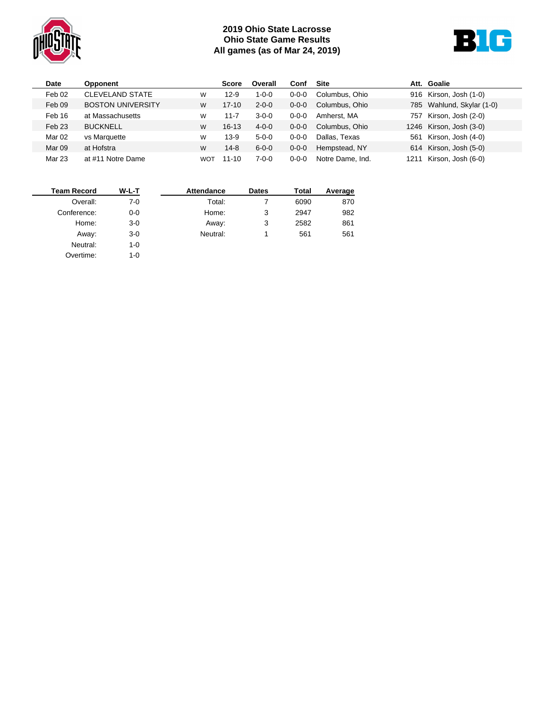

## **2019 Ohio State Lacrosse Ohio State Game Results All games (as of Mar 24, 2019)**



| Date              | Opponent                 |            | <b>Score</b> | Overall     | Conf        | <b>Site</b>      |      | Att. Goalie               |
|-------------------|--------------------------|------------|--------------|-------------|-------------|------------------|------|---------------------------|
| Feb 02            | <b>CLEVELAND STATE</b>   | W          | $12-9$       | $1 - 0 - 0$ | $0 - 0 - 0$ | Columbus, Ohio   |      | 916 Kirson, Josh (1-0)    |
| Feb 09            | <b>BOSTON UNIVERSITY</b> | W          | $17 - 10$    | $2 - 0 - 0$ | $0 - 0 - 0$ | Columbus, Ohio   |      | 785 Wahlund, Skylar (1-0) |
| Feb 16            | at Massachusetts         | W          | 11-7         | $3-0-0$     | $0 - 0 - 0$ | Amherst, MA      | 757  | Kirson, Josh (2-0)        |
| Feb 23            | <b>BUCKNELL</b>          | W          | $16 - 13$    | $4 - 0 - 0$ | $0 - 0 - 0$ | Columbus, Ohio   |      | 1246 Kirson, Josh (3-0)   |
| Mar <sub>02</sub> | vs Marquette             | w          | $13-9$       | $5 - 0 - 0$ | $0 - 0 - 0$ | Dallas, Texas    | 561  | Kirson, Josh (4-0)        |
| Mar 09            | at Hofstra               | W          | 14-8         | $6 - 0 - 0$ | $0 - 0 - 0$ | Hempstead, NY    |      | 614 Kirson, Josh (5-0)    |
| Mar 23            | at #11 Notre Dame        | <b>WOT</b> | $11 - 10$    | $7 - 0 - 0$ | $0 - 0 - 0$ | Notre Dame, Ind. | 1211 | Kirson, Josh (6-0)        |

| <b>Team Record</b> | W-L-T | <b>Attendance</b> | <b>Dates</b> | Total | Average |
|--------------------|-------|-------------------|--------------|-------|---------|
| Overall:           | 7-0   | Total:            |              | 6090  | 870     |
| Conference:        | $0-0$ | Home:             | 3            | 2947  | 982     |
| Home:              | $3-0$ | Away:             | 3            | 2582  | 861     |
| Away:              | $3-0$ | Neutral:          |              | 561   | 561     |
| Neutral:           | 1-0   |                   |              |       |         |
| Overtime:          | 1-0   |                   |              |       |         |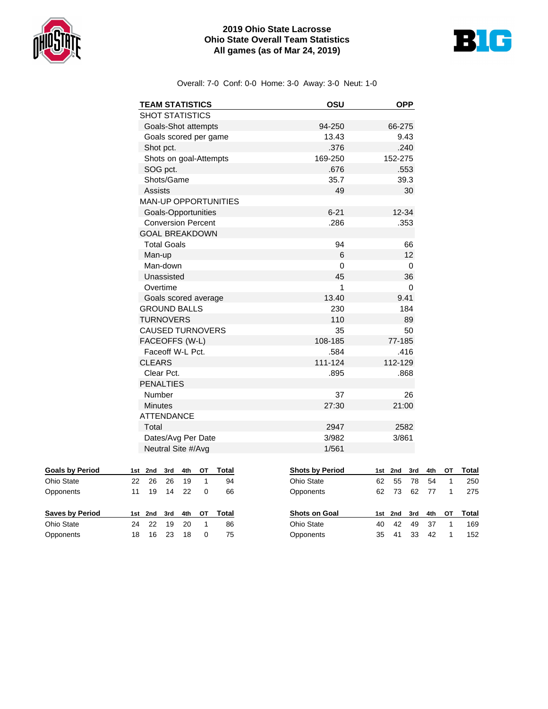

## **2019 Ohio State Lacrosse Ohio State Overall Team Statistics All games (as of Mar 24, 2019)**



Overall: 7-0 Conf: 0-0 Home: 3-0 Away: 3-0 Neut: 1-0

| <b>TEAM STATISTICS</b>                             | OSU      | <b>OPP</b> |
|----------------------------------------------------|----------|------------|
| <b>SHOT STATISTICS</b>                             |          |            |
| Goals-Shot attempts                                | 94-250   | 66-275     |
| Goals scored per game                              | 13.43    | 9.43       |
| Shot pct.                                          | .376     | .240       |
| Shots on goal-Attempts                             | 169-250  | 152-275    |
| SOG pct.                                           | .676     | .553       |
| Shots/Game                                         | 35.7     | 39.3       |
| Assists                                            | 49       | 30         |
| <b>MAN-UP OPPORTUNITIES</b>                        |          |            |
| Goals-Opportunities                                | $6 - 21$ | $12 - 34$  |
| <b>Conversion Percent</b><br><b>GOAL BREAKDOWN</b> | .286     | .353       |
| <b>Total Goals</b>                                 | 94       | 66         |
| Man-up                                             | 6        | 12         |
| Man-down                                           | 0        | 0          |
| Unassisted                                         | 45       | 36         |
| Overtime                                           | 1        | 0          |
| Goals scored average                               | 13.40    | 9.41       |
| <b>GROUND BALLS</b>                                | 230      | 184        |
| <b>TURNOVERS</b>                                   | 110      | 89         |
| <b>CAUSED TURNOVERS</b>                            | 35       | 50         |
| FACEOFFS (W-L)                                     | 108-185  | 77-185     |
| Faceoff W-L Pct.                                   | .584     | .416       |
| <b>CLEARS</b>                                      | 111-124  | 112-129    |
| Clear Pct.                                         | .895     | .868       |
| <b>PENALTIES</b>                                   |          |            |
| Number                                             | 37       | 26         |
| <b>Minutes</b>                                     | 27:30    | 21:00      |
| <b>ATTENDANCE</b>                                  |          |            |
| Total                                              | 2947     | 2582       |
| Dates/Avg Per Date                                 | 3/982    | 3/861      |
| Neutral Site #/Avg                                 | 1/561    |            |

| <b>Goals by Period</b> |    | 1st 2nd | 3rd     | 4th   | OТ       | Total |  |
|------------------------|----|---------|---------|-------|----------|-------|--|
| Ohio State             | 22 | 26      | 26      | 19    |          | 94    |  |
| Opponents              | 11 | 19      |         | 14 22 | $\Omega$ | 66    |  |
|                        |    |         |         |       |          |       |  |
|                        |    |         |         |       |          |       |  |
| <b>Saves by Period</b> |    | 1st 2nd | 3rd 4th |       | OТ       | Total |  |
| Ohio State             | 24 | 22.     | 19      | 20    |          | 86    |  |

| <b>Shots by Period</b> |     | 1st 2nd 3rd 4th |    |       | ΟТ | Total |
|------------------------|-----|-----------------|----|-------|----|-------|
| <b>Ohio State</b>      | 62  | 55              | 78 | 54    |    | 250   |
| Opponents              | 62. | 73              |    | 62 77 | -1 | 275   |
| <b>Shots on Goal</b>   |     | 1st 2nd 3rd 4th |    |       | OТ | Total |
| <b>Ohio State</b>      | 40  | 42              | 49 | 37    | 1  | 169   |
| Opponents              | 35. | 41              | 33 | 42    | 1  | 152   |
|                        |     |                 |    |       |    |       |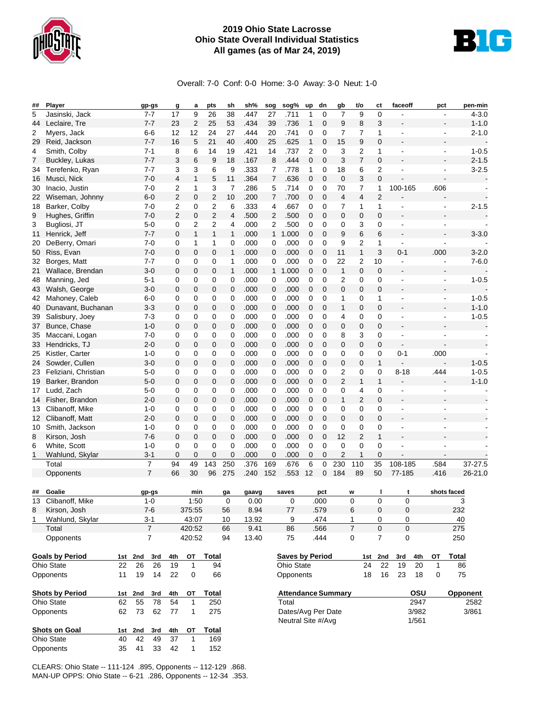

## **2019 Ohio State Lacrosse Ohio State Overall Individual Statistics All games (as of Mar 24, 2019)**



Overall: 7-0 Conf: 0-0 Home: 3-0 Away: 3-0 Neut: 1-0

| ## | Player                 |     |         | gp-gs          | g              | a              | pts                     | sh             | sh%   | sog            | sog%                      | up             | dn          | gb             | t/o            | ct             | faceoff        | pct       | pen-min                     |
|----|------------------------|-----|---------|----------------|----------------|----------------|-------------------------|----------------|-------|----------------|---------------------------|----------------|-------------|----------------|----------------|----------------|----------------|-----------|-----------------------------|
| 5  | Jasinski, Jack         |     |         | $7 - 7$        | 17             | 9              | 26                      | 38             | .447  | 27             | .711                      | 1              | 0           | $\overline{7}$ | 9              | 0              |                |           | $4 - 3.0$<br>$\overline{a}$ |
| 44 | Leclaire, Tre          |     |         | $7 - 7$        | 23             | $\overline{2}$ | 25                      | 53             | .434  | 39             | .736                      | 1              | 0           | 9              | 8              | 3              |                |           | $1 - 1.0$<br>$\blacksquare$ |
| 2  | Myers, Jack            |     |         | $6-6$          | 12             | 12             | 24                      | 27             | .444  | 20             | .741                      | 0              | 0           | 7              | 7              | 1              |                |           | $2 - 1.0$<br>$\overline{a}$ |
| 29 | Reid, Jackson          |     |         | $7 - 7$        | 16             | 5              | 21                      | 40             | .400  | 25             | .625                      | $\mathbf{1}$   | $\mathbf 0$ | 15             | 9              | 0              |                |           |                             |
|    |                        |     |         | $7 - 1$        |                |                |                         | 19             | .421  |                | .737                      |                |             |                |                |                |                |           | $\overline{a}$              |
| 4  | Smith, Colby           |     |         |                | 8              | 6              | 14                      |                |       | 14             |                           | $\overline{2}$ | 0           | 3              | 2              | 1              |                |           | $1 - 0.5$                   |
| 7  | Buckley, Lukas         |     |         | $7 - 7$        | 3              | 6              | 9                       | 18             | .167  | 8              | .444                      | $\mathbf 0$    | $\mathbf 0$ | 3              | 7              | 0              |                |           | $2 - 1.5$                   |
| 34 | Terefenko, Ryan        |     |         | $7 - 7$        | 3              | 3              | 6                       | 9              | .333  | 7              | .778                      | 1              | 0           | 18             | 6              | 2              |                |           | $3 - 2.5$                   |
| 16 | Musci, Nick            |     |         | $7 - 0$        | 4              | $\mathbf{1}$   | 5                       | 11             | .364  | $\overline{7}$ | .636                      | $\mathbf 0$    | $\mathbf 0$ | $\mathbf 0$    | 3              | $\mathbf 0$    |                |           |                             |
| 30 | Inacio, Justin         |     |         | $7 - 0$        | 2              | 1              | 3                       | $\overline{7}$ | .286  | 5              | .714                      | 0              | 0           | 70             | 7              | 1              | 100-165        | .606      |                             |
| 22 | Wiseman, Johnny        |     |         | $6 - 0$        | 2              | 0              | 2                       | 10             | .200  | 7              | .700                      | $\mathbf 0$    | $\mathbf 0$ | 4              | 4              | $\overline{2}$ |                |           |                             |
| 18 | Barker, Colby          |     |         | $7-0$          | 2              | 0              | $\overline{\mathbf{c}}$ | 6              | .333  | 4              | .667                      | 0              | 0           | 7              | 1              | 1              | $\blacksquare$ |           | $2 - 1.5$<br>$\overline{a}$ |
| 9  | Hughes, Griffin        |     |         | $7 - 0$        | $\overline{2}$ | 0              | 2                       | 4              | .500  | $\overline{2}$ | .500                      | $\mathbf 0$    | $\mathbf 0$ | 0              | 0              | 0              |                |           |                             |
| 3  | Bugliosi, JT           |     |         | $5-0$          | 0              | 2              | 2                       | 4              | .000  | 2              | .500                      | 0              | 0           | 0              | 3              | 0              | $\blacksquare$ |           | $\blacksquare$              |
| 11 | Henrick, Jeff          |     |         | $7 - 7$        | 0              | $\mathbf{1}$   | $\mathbf{1}$            | $\mathbf{1}$   | .000  | $\mathbf{1}$   | 1.000                     | $\mathbf 0$    | $\mathbf 0$ | 9              | 6              | 6              |                |           | $3 - 3.0$                   |
| 20 | DeBerry, Omari         |     |         | $7-0$          | 0              | 1              | 1                       | 0              | .000  | $\mathbf 0$    | .000                      | $\mathbf 0$    | 0           | 9              | 2              | 1              | ÷,             |           |                             |
| 50 | Riss, Evan             |     |         | $7 - 0$        | $\mathbf 0$    | 0              | 0                       | 1              | .000  | $\mathbf 0$    | .000                      | 0              | 0           | 11             | $\mathbf{1}$   | 3              | $0 - 1$        | .000      | $3 - 2.0$                   |
| 32 | Borges, Matt           |     |         | $7 - 7$        | 0              | 0              | 0                       | 1              | .000  | 0              | .000                      | 0              | $\mathbf 0$ | 22             | 2              | 10             | ä,             |           | $7 - 6.0$                   |
| 21 | Wallace, Brendan       |     |         | $3-0$          | $\mathbf 0$    | $\mathbf 0$    | 0                       | $\mathbf{1}$   | .000  | 1              | 1.000                     | $\mathbf 0$    | $\mathbf 0$ | $\mathbf{1}$   | 0              | $\mathbf 0$    |                |           |                             |
| 48 | Manning, Jed           |     |         | $5 - 1$        | 0              | 0              | 0                       | $\mathbf 0$    | .000  | 0              | .000                      | 0              | 0           | 2              | 0              | 0              |                |           | $1 - 0.5$<br>$\overline{a}$ |
|    | Walsh, George          |     |         | $3-0$          | 0              |                |                         | $\mathbf 0$    | .000  |                | .000                      | $\mathbf 0$    | $\mathbf 0$ | 0              | 0              | 0              |                |           |                             |
| 43 |                        |     |         |                |                | 0              | 0                       |                |       | 0              |                           |                |             |                |                |                |                |           |                             |
| 42 | Mahoney, Caleb         |     |         | $6-0$          | 0              | 0              | 0                       | 0              | .000  | 0              | .000                      | 0              | $\mathbf 0$ | 1              | 0              | 1              | ä,             |           | $1 - 0.5$                   |
| 40 | Dunavant, Buchanan     |     |         | $3 - 3$        | 0              | 0              | 0                       | $\mathbf 0$    | .000  | 0              | .000                      | $\mathbf 0$    | $\mathbf 0$ | $\mathbf{1}$   | 0              | 0              |                |           | $1 - 1.0$                   |
| 39 | Salisbury, Joey        |     |         | $7 - 3$        | 0              | 0              | 0                       | 0              | .000  | 0              | .000                      | 0              | 0           | 4              | 0              | 0              | ä,             |           | $1 - 0.5$<br>$\blacksquare$ |
| 37 | Bunce, Chase           |     |         | $1 - 0$        | 0              | 0              | 0                       | 0              | .000  | 0              | .000                      | $\mathbf 0$    | $\mathbf 0$ | 0              | 0              | 0              |                |           |                             |
| 35 | Maccani, Logan         |     |         | $7-0$          | 0              | 0              | 0                       | 0              | .000  | 0              | .000                      | 0              | $\mathbf 0$ | 8              | 3              | 0              | ä,             |           |                             |
| 33 | Hendricks, TJ          |     |         | $2 - 0$        | 0              | 0              | 0                       | $\mathbf 0$    | .000  | 0              | .000                      | $\mathbf 0$    | $\mathbf 0$ | 0              | 0              | 0              |                |           |                             |
| 25 | Kistler, Carter        |     |         | $1 - 0$        | 0              | 0              | 0                       | 0              | .000  | 0              | .000                      | 0              | 0           | 0              | 0              | 0              | $0 - 1$        | .000      |                             |
| 24 | Sowder, Cullen         |     |         | $3 - 0$        | 0              | 0              | 0                       | $\mathbf 0$    | .000  | 0              | .000                      | $\mathbf 0$    | $\mathbf 0$ | 0              | 0              | $\mathbf{1}$   |                |           | $1 - 0.5$                   |
| 23 | Feliziani, Christian   |     |         | $5-0$          | 0              | 0              | $\mathbf 0$             | 0              | .000  | $\mathbf 0$    | .000                      | $\mathbf 0$    | 0           | 2              | 0              | 0              | $8 - 18$       | .444      | $1 - 0.5$                   |
| 19 | Barker, Brandon        |     |         | $5 - 0$        | 0              | 0              | 0                       | 0              | .000  | $\mathbf 0$    | .000                      | $\mathbf 0$    | $\mathbf 0$ | 2              | 1              | $\mathbf{1}$   |                |           | $1 - 1.0$                   |
| 17 | Ludd, Zach             |     |         | $5 - 0$        | 0              | 0              | 0                       | 0              | .000  | 0              | .000                      | 0              | 0           | 0              | 4              | 0              |                |           |                             |
| 14 | Fisher, Brandon        |     |         | $2 - 0$        | $\mathbf 0$    | $\mathbf 0$    | 0                       | $\mathbf 0$    | .000  | 0              | .000                      | $\mathbf 0$    | $\mathbf 0$ | $\mathbf{1}$   | $\overline{2}$ | 0              |                |           |                             |
| 13 | Clibanoff, Mike        |     |         | $1 - 0$        | 0              | 0              | 0                       | 0              | .000  | $\mathbf 0$    | .000                      | 0              | 0           | 0              | 0              | 0              | L,             |           |                             |
| 12 | Clibanoff, Matt        |     |         | $2 - 0$        | 0              | 0              | 0                       | 0              | .000  | 0              | .000                      | $\mathbf 0$    | $\mathbf 0$ | 0              | 0              | 0              |                |           |                             |
| 10 | Smith, Jackson         |     |         | $1 - 0$        | 0              | 0              | 0                       | 0              | .000  | 0              | .000                      | 0              | $\mathbf 0$ | 0              | 0              | 0              | ä,             |           |                             |
| 8  | Kirson, Josh           |     |         | $7 - 6$        | 0              | 0              | 0                       | $\mathbf{0}$   | .000  | 0              | .000                      | 0              | $\mathbf 0$ | 12             | $\overline{2}$ | $\mathbf{1}$   |                |           |                             |
| 6  | White, Scott           |     |         | $1 - 0$        | 0              | 0              | $\mathbf 0$             | 0              | .000  | $\mathbf 0$    | .000                      | 0              | 0           | 0              | 0              | 0              | $\overline{a}$ |           |                             |
| 1  | Wahlund, Skylar        |     |         | $3 - 1$        | 0              | 0              | 0                       | 0              | .000  | 0              | .000                      | 0              | 0           | 2              | 1              | 0              |                |           |                             |
|    | Total                  |     |         | $\overline{7}$ | 94             | 49             | 143                     | 250            | .376  | 169            | .676                      | 6              | $\mathbf 0$ | 230            | 110            | 35             | 108-185        | .584      | 37-27.5                     |
|    |                        |     |         | $\overline{7}$ |                |                |                         |                |       |                |                           |                |             |                |                |                | 77-185         |           |                             |
|    | Opponents              |     |         |                | 66             | 30             | 96                      | 275            | .240  | 152            | .553                      | 12             | $\mathbf 0$ | 184            | 89             | 50             |                | .416      | 26-21.0                     |
|    |                        |     |         |                |                |                |                         |                |       |                |                           |                |             |                |                |                |                |           |                             |
| ## | Goalie                 |     |         | gp-gs          |                | min            |                         | ga             | gaavg |                | saves                     |                | pct         |                | W              |                | t              |           | shots faced                 |
|    | 13 Clibanoff, Mike     |     |         | $1 - 0$        |                | 1:50           |                         | 0              | 0.00  |                | 0                         |                | .000        |                | 0              | 0              | 0              |           | 3                           |
| 8  | Kirson, Josh           |     |         | $7 - 6$        |                | 375:55         |                         | 56             | 8.94  |                | 77                        |                | .579        |                | 6              | 0              | 0              |           | 232                         |
| 1  | Wahlund, Skylar        |     |         | $3 - 1$        |                | 43:07          |                         | 10             | 13.92 |                | 9                         |                | .474        |                | 1              | 0              | 0              |           | 40                          |
|    | Total                  |     |         | $\overline{7}$ |                | 420:52         |                         | 66             | 9.41  |                | 86                        |                | .566        |                | $\overline{7}$ | $\overline{0}$ | $\overline{0}$ |           | 275                         |
|    | Opponents              |     |         | $\overline{7}$ |                | 420:52         |                         | 94             | 13.40 |                | 75                        |                | .444        |                | 0              | 7              | 0              |           | 250                         |
|    |                        |     |         |                |                |                |                         |                |       |                |                           |                |             |                |                |                |                |           |                             |
|    | <b>Goals by Period</b> |     | 1st 2nd | 3rd            | 4th            | ОT             | <b>Total</b>            |                |       |                | <b>Saves by Period</b>    |                |             |                | 1st            | 2nd            | 3rd            | 4th<br>от | <b>Total</b>                |
|    | <b>Ohio State</b>      | 22  | 26      | 26             | 19             | 1              | 94                      |                |       |                | Ohio State                |                |             |                | 24             | 22             | 19             | 20<br>1   | 86                          |
|    | Opponents              | 11  | 19      | 14             | 22             | 0              | 66                      |                |       |                | Opponents                 |                |             |                | 18             | 16             | 23             | 0<br>18   | 75                          |
|    |                        |     |         |                |                |                |                         |                |       |                |                           |                |             |                |                |                |                |           |                             |
|    | <b>Shots by Period</b> | 1st | 2nd     | 3rd            | 4th            | ОТ             | Total                   |                |       |                | <b>Attendance Summary</b> |                |             |                |                |                |                | OSU       | Opponent                    |
|    | Ohio State             | 62  | 55      | 78             | 54             | 1              | 250                     |                |       |                | Total                     |                |             |                |                |                |                | 2947      | 2582                        |
|    | Opponents              | 62  | 73      | 62             | 77             | 1              | 275                     |                |       |                | Dates/Avg Per Date        |                |             |                |                |                |                | 3/982     | 3/861                       |
|    |                        |     |         |                |                |                |                         |                |       |                | Neutral Site #/Avg        |                |             |                |                |                |                | 1/561     |                             |
|    | Shots on Goal          | 1st | 2nd     | 3rd            | 4th            | ОТ             | Total                   |                |       |                |                           |                |             |                |                |                |                |           |                             |
|    | Ohio State             | 40  | 42      | 49             | 37             | $\mathbf{1}$   | 169                     |                |       |                |                           |                |             |                |                |                |                |           |                             |
|    | Opponents              | 35  | 41      | 33             | 42             | 1              | 152                     |                |       |                |                           |                |             |                |                |                |                |           |                             |
|    |                        |     |         |                |                |                |                         |                |       |                |                           |                |             |                |                |                |                |           |                             |

CLEARS: Ohio State -- 111-124 .895, Opponents -- 112-129 .868. MAN-UP OPPS: Ohio State -- 6-21 .286, Opponents -- 12-34 .353.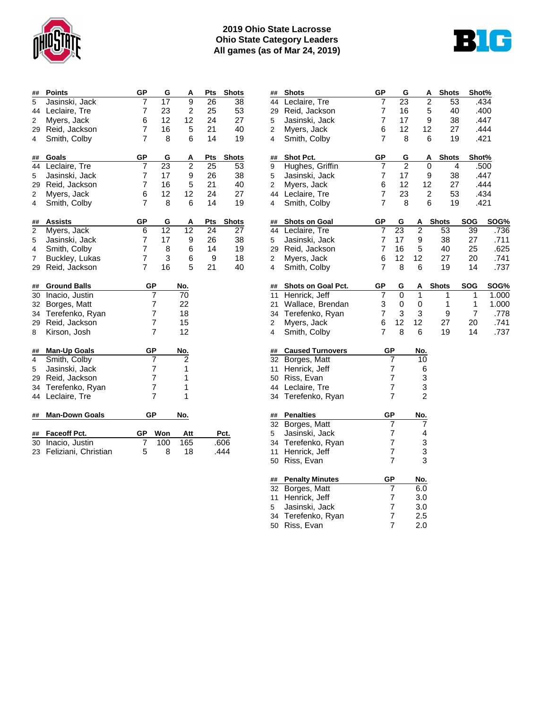

## **2019 Ohio State Lacrosse Ohio State Category Leaders All games (as of Mar 24, 2019)**



| ##                      | <b>Points</b>         | GP             | G              | A              | Pts | <b>Shots</b> |
|-------------------------|-----------------------|----------------|----------------|----------------|-----|--------------|
| 5                       | Jasinski, Jack        | 7              | 17             | $\overline{9}$ | 26  | 38           |
| 44                      | Leclaire, Tre         | 7              | 23             | $\overline{2}$ | 25  | 53           |
| 2                       | Myers, Jack           | 6              | 12             | 12             | 24  | 27           |
| 29                      | Reid, Jackson         | 7              | 16             | 5              | 21  | 40           |
| 4                       | Smith, Colby          | 7              | 8              | 6              | 14  | 19           |
| ##                      | Goals                 | GP             | G              | A              | Pts | <b>Shots</b> |
| 44                      | Leclaire, Tre         | 7              | 23             | 2              | 25  | 53           |
| 5                       | Jasinski, Jack        | 7              | 17             | 9              | 26  | 38           |
| 29                      | Reid, Jackson         | 7              | 16             | 5              | 21  | 40           |
| $\overline{\mathbf{c}}$ | Myers, Jack           | 6              | 12             | 12             | 24  | 27           |
| 4                       | Smith, Colby          | 7              | 8              | 6              | 14  | 19           |
| ##                      | <b>Assists</b>        | <b>GP</b>      | G              | A              | Pts | <b>Shots</b> |
| $\overline{c}$          | Myers, Jack           | 6              | 12             | 12             | 24  | 27           |
| 5                       | Jasinski, Jack        | 7              | 17             | 9              | 26  | 38           |
| 4                       | Smith, Colby          | 7              | 8              | 6              | 14  | 19           |
| 7                       | Buckley, Lukas        | 7              | 3              | 6              | 9   | 18           |
| 29                      | Reid, Jackson         | $\overline{7}$ | 16             | 5              | 21  | 40           |
| ##                      | <b>Ground Balls</b>   |                | GP             | No.            |     |              |
| 30                      | Inacio, Justin        |                | $\overline{7}$ | 70             |     |              |
| 32                      | Borges, Matt          |                | 7              | 22             |     |              |
| 34                      | Terefenko, Ryan       |                | 7              | 18             |     |              |
| 29                      | Reid, Jackson         |                | 7              | 15             |     |              |
| 8                       | Kirson, Josh          |                | $\overline{7}$ | 12             |     |              |
| ##                      | <b>Man-Up Goals</b>   |                | GP             | N <u>o.</u>    |     |              |
| 4                       | Smith, Colby          |                | $\overline{7}$ | $\overline{2}$ |     |              |
| 5                       | Jasinski, Jack        |                | 7              | 1              |     |              |
| 29                      | Reid, Jackson         |                | $\overline{7}$ | 1              |     |              |
| 34                      | Terefenko, Ryan       |                | $\overline{7}$ | 1              |     |              |
| 44                      | Leclaire, Tre         |                | $\overline{7}$ | 1              |     |              |
| ##                      | <b>Man-Down Goals</b> |                | GР             | No.            |     |              |
| ##                      | Faceoff Pct.          | GP             | Wop            | Att            |     | Pct.         |
| 30                      | Inacio, Justin        | 7              | 100            | 165            |     | .606         |
| 23                      | Feliziani, Christian  | 5              | 8              | 18             |     | .444         |

| ##                      | <b>Shots</b>            | GP             | G               |                | <b>Shots</b><br>A    | Shot%        |       |
|-------------------------|-------------------------|----------------|-----------------|----------------|----------------------|--------------|-------|
| 44                      | Leclaire, Tre           | 7              | 23              |                | $\overline{2}$<br>53 |              | .434  |
| 29                      | Reid, Jackson           | 7              | 16              |                | 5<br>40              |              | .400  |
| 5                       | Jasinski, Jack          | 7              | 17              |                | 9<br>38              |              | .447  |
| $\overline{\mathbf{c}}$ | Myers, Jack             | 6              | 12              | 12             | 27                   |              | .444  |
| 4                       | Smith, Colby            | 7              | 8               |                | 19<br>6              |              | .421  |
| ##                      | Shot Pct.               | GP             | G               |                | <b>Shots</b><br>Α    | Shot%        |       |
| 9                       | Hughes, Griffin         | 7              | $\overline{2}$  |                | 0                    | 4            | .500  |
| 5                       | Jasinski, Jack          | 7              | 17              |                | 9<br>38              |              | .447  |
| 2                       | Myers, Jack             | 6              | 12              | 12             | 27                   |              | .444  |
| 44                      | Leclaire, Tre           | 7              | 23              |                | 53<br>2              |              | .434  |
| 4                       | Smith, Colby            | 7              | 8               |                | 6<br>19              |              | .421  |
| ##                      | <b>Shots on Goal</b>    | GP             | G               | Α              | <b>Shots</b>         | <b>SOG</b>   | SOG%  |
| 44                      | Leclaire, Tre           | $\overline{7}$ | $\overline{23}$ | $\overline{2}$ | $\overline{53}$      | 39           | .736  |
| 5                       | Jasinski, Jack          | 7              | 17              | 9              | 38                   | 27           | .711  |
| 29                      | Reid, Jackson           | 7              | 16              | 5              | 40                   | 25           | .625  |
| $\overline{\mathbf{c}}$ | Myers, Jack             | 6              | 12              | 12             | 27                   | 20           | .741  |
| 4                       | Smith, Colby            | 7              | 8               | 6              | 19                   | 14           | .737  |
| ##                      | Shots on Goal Pct.      | GР             | G               | Α              | <b>Shots</b>         | <b>SOG</b>   | SOG%  |
| 11                      | Henrick, Jeff           | 7              | 0               | 1              | 1                    | 1            | 1.000 |
| 21                      | Wallace, Brendan        | 3              | 0               | $\mathbf 0$    | $\mathbf{1}$         | $\mathbf{1}$ | 1.000 |
| 34                      | Terefenko, Ryan         | 7              | 3               | 3              | 9                    | 7            | .778  |
| 2                       | Myers, Jack             | 6              | 12              | 12             | 27                   | 20           | .741  |
| 4                       | Smith, Colby            | 7              | 8               | 6              | 19                   | 14           | .737  |
| ##                      | <b>Caused Turnovers</b> | <b>GP</b>      |                 | No.            |                      |              |       |
| 32                      | Borges, Matt            |                | 7               | 10             |                      |              |       |
| 11                      | Henrick, Jeff           |                | 7               | 6              |                      |              |       |
| 50                      | Riss, Evan              |                | 7               | 3              |                      |              |       |
| 44                      | Leclaire, Tre           |                | 7               | 3              |                      |              |       |
| 34                      | Terefenko, Ryan         |                | 7               | 2              |                      |              |       |
| ##                      | <b>Penalties</b>        | GP             |                 | No.            |                      |              |       |
| 32                      | Borges, Matt            |                | 7               | 7              |                      |              |       |
| 5                       | Jasinski, Jack          |                | 7               | 4              |                      |              |       |
| 34                      | Terefenko, Ryan         |                | 7               | 3              |                      |              |       |
| 11                      | Henrick, Jeff           |                | 7               | 3              |                      |              |       |
| 50                      | Riss, Evan              |                | 7               | 3              |                      |              |       |
| ##                      | <b>Penalty Minutes</b>  | <b>GP</b>      |                 | No.            |                      |              |       |
| 32                      | Borges, Matt            |                | 7               | 6.0            |                      |              |       |
| 11                      | Henrick, Jeff           |                | 7               | 3.0            |                      |              |       |
| 5                       | Jasinski, Jack          |                | 7               | 3.0            |                      |              |       |
| 34                      | Terefenko, Ryan         |                | 7               | 2.5            |                      |              |       |
| 50                      | Riss, Evan              |                | 7               | 2.0            |                      |              |       |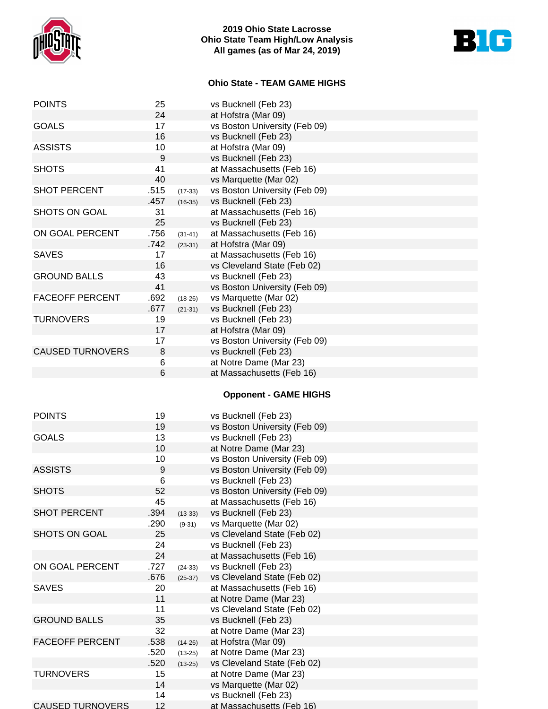

## **2019 Ohio State Lacrosse Ohio State Team High/Low Analysis All games (as of Mar 24, 2019)**



# **Ohio State - TEAM GAME HIGHS**

| <b>POINTS</b>           | 25   |           | vs Bucknell (Feb 23)          |
|-------------------------|------|-----------|-------------------------------|
|                         | 24   |           | at Hofstra (Mar 09)           |
| <b>GOALS</b>            | 17   |           | vs Boston University (Feb 09) |
|                         | 16   |           | vs Bucknell (Feb 23)          |
| <b>ASSISTS</b>          | 10   |           | at Hofstra (Mar 09)           |
|                         | 9    |           | vs Bucknell (Feb 23)          |
| <b>SHOTS</b>            | 41   |           | at Massachusetts (Feb 16)     |
|                         | 40   |           | vs Marquette (Mar 02)         |
| <b>SHOT PERCENT</b>     | .515 | $(17-33)$ | vs Boston University (Feb 09) |
|                         | .457 | $(16-35)$ | vs Bucknell (Feb 23)          |
| SHOTS ON GOAL           | 31   |           | at Massachusetts (Feb 16)     |
|                         | 25   |           | vs Bucknell (Feb 23)          |
| ON GOAL PERCENT         | .756 | $(31-41)$ | at Massachusetts (Feb 16)     |
|                         | .742 | $(23-31)$ | at Hofstra (Mar 09)           |
| <b>SAVES</b>            | 17   |           | at Massachusetts (Feb 16)     |
|                         | 16   |           | vs Cleveland State (Feb 02)   |
| <b>GROUND BALLS</b>     | 43   |           | vs Bucknell (Feb 23)          |
|                         | 41   |           | vs Boston University (Feb 09) |
| <b>FACEOFF PERCENT</b>  | .692 | $(18-26)$ | vs Marquette (Mar 02)         |
|                         | .677 | $(21-31)$ | vs Bucknell (Feb 23)          |
| <b>TURNOVERS</b>        | 19   |           | vs Bucknell (Feb 23)          |
|                         | 17   |           | at Hofstra (Mar 09)           |
|                         | 17   |           | vs Boston University (Feb 09) |
| <b>CAUSED TURNOVERS</b> | 8    |           | vs Bucknell (Feb 23)          |
|                         | 6    |           | at Notre Dame (Mar 23)        |
|                         | 6    |           | at Massachusetts (Feb 16)     |
|                         |      |           | <b>Opponent - GAME HIGHS</b>  |
|                         |      |           |                               |
| <b>POINTS</b>           | 19   |           | vs Bucknell (Feb 23)          |
|                         | 19   |           | vs Boston University (Feb 09) |
| <b>GOALS</b>            | 13   |           | vs Bucknell (Feb 23)          |
|                         | 10   |           | at Notre Dame (Mar 23)        |
|                         | 10   |           | vs Boston University (Feb 09) |
| <b>ASSISTS</b>          | 9    |           | vs Boston University (Feb 09) |
|                         | 6    |           | vs Bucknell (Feb 23)          |
| <b>SHOTS</b>            | 52   |           | vs Boston University (Feb 09) |
|                         | 45   |           | at Massachusetts (Feb 16)     |
| <b>SHOT PERCENT</b>     | .394 | $(13-33)$ | vs Bucknell (Feb 23)          |
|                         | .290 | $(9-31)$  | vs Marquette (Mar 02)         |
| <b>SHOTS ON GOAL</b>    | 25   |           | vs Cleveland State (Feb 02)   |
|                         | 24   |           | vs Bucknell (Feb 23)          |
|                         | 24   |           | at Massachusetts (Feb 16)     |
| ON GOAL PERCENT         | .727 | $(24-33)$ | vs Bucknell (Feb 23)          |
|                         | .676 | $(25-37)$ | vs Cleveland State (Feb 02)   |
| <b>SAVES</b>            | 20   |           | at Massachusetts (Feb 16)     |
|                         | 11   |           | at Notre Dame (Mar 23)        |
|                         | 11   |           | vs Cleveland State (Feb 02)   |
| <b>GROUND BALLS</b>     | 35   |           | vs Bucknell (Feb 23)          |
|                         | 32   |           | at Notre Dame (Mar 23)        |
| <b>FACEOFF PERCENT</b>  | .538 | $(14-26)$ | at Hofstra (Mar 09)           |
|                         | .520 | $(13-25)$ | at Notre Dame (Mar 23)        |
|                         | .520 | $(13-25)$ | vs Cleveland State (Feb 02)   |
| <b>TURNOVERS</b>        | 15   |           | at Notre Dame (Mar 23)        |
|                         | 14   |           | vs Marquette (Mar 02)         |
|                         | 14   |           | vs Bucknell (Feb 23)          |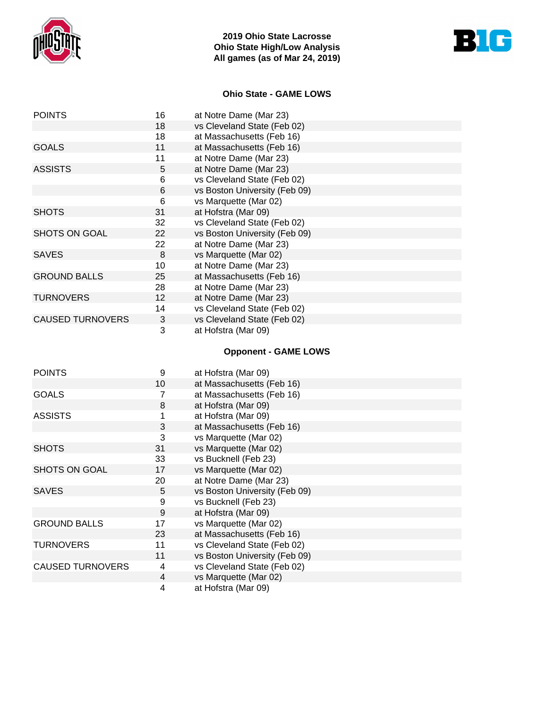



## **Ohio State - GAME LOWS**

| <b>POINTS</b>           | 16 | at Notre Dame (Mar 23)        |
|-------------------------|----|-------------------------------|
|                         | 18 | vs Cleveland State (Feb 02)   |
|                         | 18 | at Massachusetts (Feb 16)     |
| <b>GOALS</b>            | 11 | at Massachusetts (Feb 16)     |
|                         | 11 | at Notre Dame (Mar 23)        |
| <b>ASSISTS</b>          | 5  | at Notre Dame (Mar 23)        |
|                         | 6  | vs Cleveland State (Feb 02)   |
|                         | 6  | vs Boston University (Feb 09) |
|                         | 6  | vs Marquette (Mar 02)         |
| <b>SHOTS</b>            | 31 | at Hofstra (Mar 09)           |
|                         | 32 | vs Cleveland State (Feb 02)   |
| SHOTS ON GOAL           | 22 | vs Boston University (Feb 09) |
|                         | 22 | at Notre Dame (Mar 23)        |
| <b>SAVES</b>            | 8  | vs Marquette (Mar 02)         |
|                         | 10 | at Notre Dame (Mar 23)        |
| <b>GROUND BALLS</b>     | 25 | at Massachusetts (Feb 16)     |
|                         | 28 | at Notre Dame (Mar 23)        |
| <b>TURNOVERS</b>        | 12 | at Notre Dame (Mar 23)        |
|                         | 14 | vs Cleveland State (Feb 02)   |
| <b>CAUSED TURNOVERS</b> | 3  | vs Cleveland State (Feb 02)   |
|                         | 3  | at Hofstra (Mar 09)           |

# **Opponent - GAME LOWS**

| <b>POINTS</b>           | 9              | at Hofstra (Mar 09)           |
|-------------------------|----------------|-------------------------------|
|                         | 10             | at Massachusetts (Feb 16)     |
| <b>GOALS</b>            |                | at Massachusetts (Feb 16)     |
|                         | 8              | at Hofstra (Mar 09)           |
| <b>ASSISTS</b>          |                | at Hofstra (Mar 09)           |
|                         | 3              | at Massachusetts (Feb 16)     |
|                         | 3              | vs Marquette (Mar 02)         |
| <b>SHOTS</b>            | 31             | vs Marquette (Mar 02)         |
|                         | 33             | vs Bucknell (Feb 23)          |
| SHOTS ON GOAL           | 17             | vs Marquette (Mar 02)         |
|                         | 20             | at Notre Dame (Mar 23)        |
| <b>SAVES</b>            | 5              | vs Boston University (Feb 09) |
|                         | 9              | vs Bucknell (Feb 23)          |
|                         | 9              | at Hofstra (Mar 09)           |
| <b>GROUND BALLS</b>     | 17             | vs Marquette (Mar 02)         |
|                         | 23             | at Massachusetts (Feb 16)     |
| <b>TURNOVERS</b>        | 11             | vs Cleveland State (Feb 02)   |
|                         | 11             | vs Boston University (Feb 09) |
| <b>CAUSED TURNOVERS</b> | 4              | vs Cleveland State (Feb 02)   |
|                         | $\overline{4}$ | vs Marquette (Mar 02)         |
|                         | 4              | at Hofstra (Mar 09)           |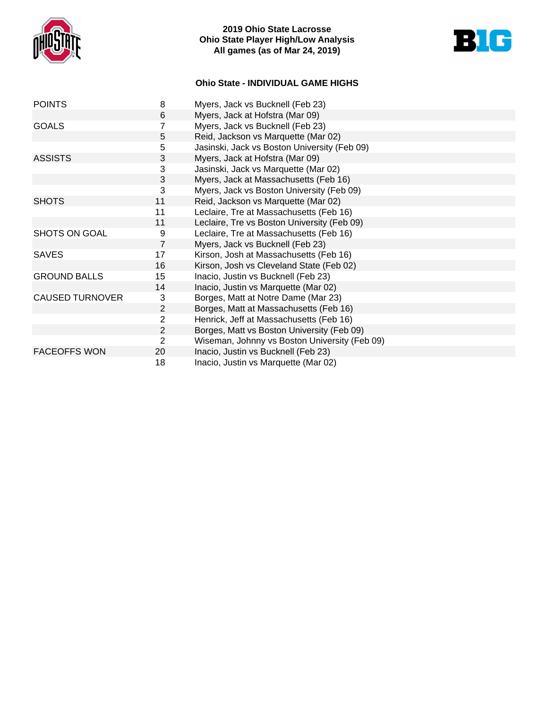

## **2019 Ohio State Lacrosse Ohio State Player High/Low Analysis All games (as of Mar 24, 2019)**



## **Ohio State - INDIVIDUAL GAME HIGHS**

| <b>POINTS</b>          | 8              | Myers, Jack vs Bucknell (Feb 23)              |
|------------------------|----------------|-----------------------------------------------|
|                        | 6              | Myers, Jack at Hofstra (Mar 09)               |
| <b>GOALS</b>           | 7              | Myers, Jack vs Bucknell (Feb 23)              |
|                        | 5              | Reid, Jackson vs Marquette (Mar 02)           |
|                        | 5              | Jasinski, Jack vs Boston University (Feb 09)  |
| <b>ASSISTS</b>         | 3              | Myers, Jack at Hofstra (Mar 09)               |
|                        | 3              | Jasinski, Jack vs Marquette (Mar 02)          |
|                        | 3              | Myers, Jack at Massachusetts (Feb 16)         |
|                        | 3              | Myers, Jack vs Boston University (Feb 09)     |
| <b>SHOTS</b>           | 11             | Reid, Jackson vs Marquette (Mar 02)           |
|                        | 11             | Leclaire, Tre at Massachusetts (Feb 16)       |
|                        | 11             | Leclaire, Tre vs Boston University (Feb 09)   |
| SHOTS ON GOAL          | 9              | Leclaire, Tre at Massachusetts (Feb 16)       |
|                        | $\overline{7}$ | Myers, Jack vs Bucknell (Feb 23)              |
| <b>SAVES</b>           | 17             | Kirson, Josh at Massachusetts (Feb 16)        |
|                        | 16             | Kirson, Josh vs Cleveland State (Feb 02)      |
| <b>GROUND BALLS</b>    | 15             | Inacio, Justin vs Bucknell (Feb 23)           |
|                        | 14             | Inacio, Justin vs Marquette (Mar 02)          |
| <b>CAUSED TURNOVER</b> | 3              | Borges, Matt at Notre Dame (Mar 23)           |
|                        | 2              | Borges, Matt at Massachusetts (Feb 16)        |
|                        | $\overline{2}$ | Henrick, Jeff at Massachusetts (Feb 16)       |
|                        | 2              | Borges, Matt vs Boston University (Feb 09)    |
|                        | 2              | Wiseman, Johnny vs Boston University (Feb 09) |
| <b>FACEOFFS WON</b>    | 20             | Inacio, Justin vs Bucknell (Feb 23)           |
|                        | 18             | Inacio, Justin vs Marquette (Mar 02)          |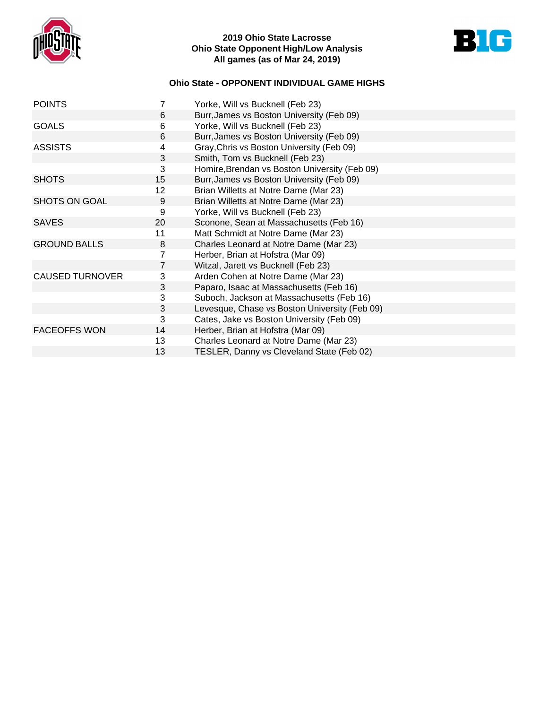

## **2019 Ohio State Lacrosse Ohio State Opponent High/Low Analysis All games (as of Mar 24, 2019)**



# **Ohio State - OPPONENT INDIVIDUAL GAME HIGHS**

| <b>POINTS</b>          | 7                         | Yorke, Will vs Bucknell (Feb 23)              |
|------------------------|---------------------------|-----------------------------------------------|
|                        | 6                         | Burr, James vs Boston University (Feb 09)     |
| <b>GOALS</b>           | 6                         | Yorke, Will vs Bucknell (Feb 23)              |
|                        | 6                         | Burr, James vs Boston University (Feb 09)     |
| <b>ASSISTS</b>         | 4                         | Gray, Chris vs Boston University (Feb 09)     |
|                        | 3                         | Smith, Tom vs Bucknell (Feb 23)               |
|                        | 3                         | Homire, Brendan vs Boston University (Feb 09) |
| <b>SHOTS</b>           | 15                        | Burr, James vs Boston University (Feb 09)     |
|                        | 12                        | Brian Willetts at Notre Dame (Mar 23)         |
| <b>SHOTS ON GOAL</b>   | 9                         | Brian Willetts at Notre Dame (Mar 23)         |
|                        | 9                         | Yorke, Will vs Bucknell (Feb 23)              |
| <b>SAVES</b>           | 20                        | Sconone, Sean at Massachusetts (Feb 16)       |
|                        | 11                        | Matt Schmidt at Notre Dame (Mar 23)           |
| <b>GROUND BALLS</b>    | 8                         | Charles Leonard at Notre Dame (Mar 23)        |
|                        | 7                         | Herber, Brian at Hofstra (Mar 09)             |
|                        | 7                         | Witzal, Jarett vs Bucknell (Feb 23)           |
| <b>CAUSED TURNOVER</b> | 3                         | Arden Cohen at Notre Dame (Mar 23)            |
|                        | 3                         | Paparo, Isaac at Massachusetts (Feb 16)       |
|                        | $\ensuremath{\mathsf{3}}$ | Suboch, Jackson at Massachusetts (Feb 16)     |
|                        | 3                         | Levesque, Chase vs Boston University (Feb 09) |
|                        | 3                         | Cates, Jake vs Boston University (Feb 09)     |
| <b>FACEOFFS WON</b>    | 14                        | Herber, Brian at Hofstra (Mar 09)             |
|                        | 13                        | Charles Leonard at Notre Dame (Mar 23)        |
|                        | 13                        | TESLER, Danny vs Cleveland State (Feb 02)     |
|                        |                           |                                               |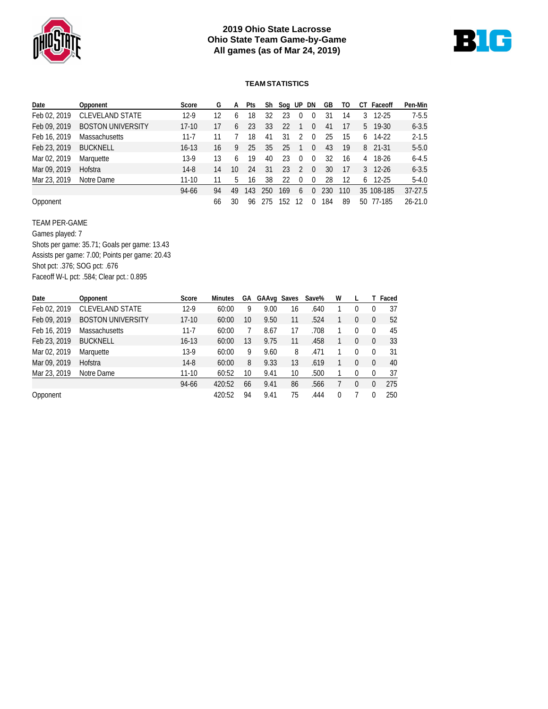

## **2019 Ohio State Lacrosse Ohio State Team Game-by-Game All games (as of Mar 24, 2019)**



#### **TEAM STATISTICS**

| Date         | Opponent                 | Score     | G  | A  | Pts | Sh  | Soa UP |                  | - DN     | GВ  | 10  | СI  | Faceoff           | Pen-Min     |
|--------------|--------------------------|-----------|----|----|-----|-----|--------|------------------|----------|-----|-----|-----|-------------------|-------------|
| Feb 02, 2019 | <b>CLEVELAND STATE</b>   | $12-9$    | 12 | h  | 18  | 32  | 23     | $\left( \right)$ | $\bf{0}$ | 31  | 14  | 3   | 12-25             | $7 - 5.5$   |
| Feb 09, 2019 | <b>BOSTON UNIVERSITY</b> | $17-10$   | 17 | 6  | 23  | 33  | 22     |                  | 0        | 41  |     |     | $5 \quad 19-30$   | $6 - 3.5$   |
| Feb 16, 2019 | <b>Massachusetts</b>     | $11 - 7$  |    |    | 18  | 41  | 31     | $\mathcal{D}$    | $\Omega$ | 25  | 15  | 6   | 14-22             | $2 - 1.5$   |
| Feb 23, 2019 | <b>BUCKNELL</b>          | $16 - 13$ | 16 | 9  | 25  | 35  | 25     |                  | 0        | 43  | 19  |     | 8 21-31           | $5 - 5.0$   |
| Mar 02, 2019 | Marquette                | $13-9$    | 13 | 6  | 19  | 40  | 23     | $\Omega$         | $\Omega$ | 32  | 16  | 4   | 18-26             | $6 - 4.5$   |
| Mar 09, 2019 | Hofstra                  | $14-8$    | 14 | 10 | 24  | 31  | 23     | 2                | $\Omega$ | 30  | 17  |     | $3 \quad 12 - 26$ | $6 - 3.5$   |
| Mar 23, 2019 | Notre Dame               | $11-10$   |    | 5  | 16  | 38  | 22     | 0                | $\Omega$ | 28  | 12  | 6   | 12-25             | $5 - 4.0$   |
|              |                          | 94-66     | 94 | 49 | 143 | 250 | 169    | 6                | 0        | 230 | 110 | 35  | 108-185           | $37 - 27.5$ |
| Opponent     |                          |           | 66 | 30 | 96  | 275 | 152    | 12               |          | 184 | 89  | 50. | 77-185            | $26 - 21.0$ |

TEAM PER-GAME

Games played: 7 Shots per game: 35.71; Goals per game: 13.43 Assists per game: 7.00; Points per game: 20.43 Shot pct: .376; SOG pct: .676 Faceoff W-L pct: .584; Clear pct.: 0.895

| Date         | Opponent                 | Score     | <b>Minutes</b> | GА | GAAvg Saves |    | Save% | W |          |          | T Faced |
|--------------|--------------------------|-----------|----------------|----|-------------|----|-------|---|----------|----------|---------|
| Feb 02, 2019 | <b>CLEVELAND STATE</b>   | $12-9$    | 60:00          | 9  | 9.00        | 16 | .640  |   | 0        | 0        | 37      |
| Feb 09, 2019 | <b>BOSTON UNIVERSITY</b> | $17-10$   | 60:00          | 10 | 9.50        | 11 | .524  |   | 0        | $\Omega$ | 52      |
| Feb 16, 2019 | <b>Massachusetts</b>     | $11 - 7$  | 60:00          |    | 8.67        | 17 | .708  |   | 0        | $\Omega$ | 45      |
| Feb 23, 2019 | <b>BUCKNELL</b>          | $16 - 13$ | 60:00          | 13 | 9.75        | 11 | .458  |   | 0        | $\Omega$ | 33      |
| Mar 02, 2019 | Marquette                | $13-9$    | 60:00          | 9  | 9.60        | 8  | .471  |   | 0        | $^{0}$   | 31      |
| Mar 09, 2019 | Hofstra                  | $14-8$    | 60:00          | 8  | 9.33        | 13 | .619  |   | 0        | $\Omega$ | 40      |
| Mar 23, 2019 | Notre Dame               | $11 - 10$ | 60:52          | 10 | 9.41        | 10 | .500  |   | $\Omega$ | $\Omega$ | 37      |
|              |                          | 94-66     | 420:52         | 66 | 9.41        | 86 | .566  |   | $\Omega$ | 0        | 275     |
| Opponent     |                          |           | 420:52         | 94 | 9.41        | 75 | .444  | 0 |          | 0        | 250     |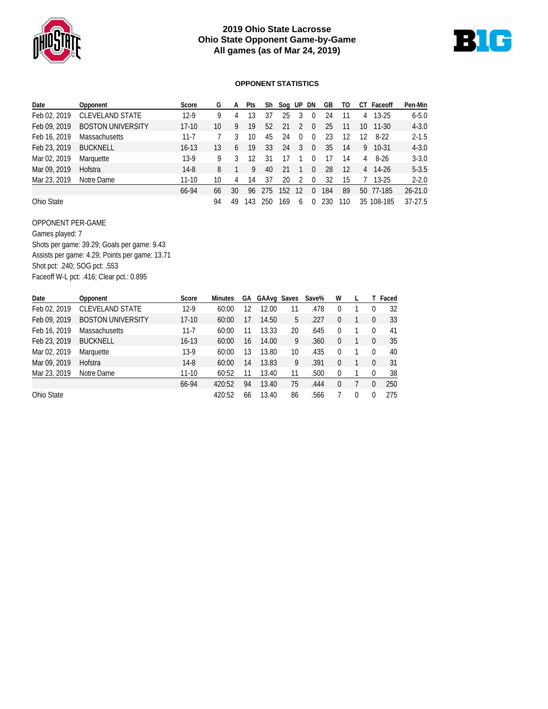

## **2019 Ohio State Lacrosse Ohio State Opponent Game-by-Game All games (as of Mar 24, 2019)**



#### **OPPONENT STATISTICS**

| Date         | Opponent                 | Score     | G  | A  | Pts | Sh   | Sog UP |              | DN       | GВ  | 10  | CТ | Faceoff    | Pen-Min     |
|--------------|--------------------------|-----------|----|----|-----|------|--------|--------------|----------|-----|-----|----|------------|-------------|
| Feb 02, 2019 | <b>CLEVELAND STATE</b>   | $12-9$    | g  | 4  | 13  | 37   | 25     | 3            | 0        | 24  | 11  | 4  | $13-25$    | $6 - 5.0$   |
| Feb 09, 2019 | <b>BOSTON UNIVERSITY</b> | $17 - 10$ | 10 | 9  | 19  | 52   | 21     |              | $\Omega$ | 25  | 11  | 10 | $11 - 30$  | $4 - 3.0$   |
| Feb 16, 2019 | <b>Massachusetts</b>     | $11 - 7$  |    |    | 10  | 45   | 24     | <sup>0</sup> | 0        | 23  | 12  | 12 | 8-22       | $2 - 1.5$   |
| Feb 23, 2019 | <b>BUCKNELL</b>          | $16 - 13$ | 13 | 6  | 19  | 33   | 24     | 3            | $\Omega$ | 35  | 14  | 9  | $10-31$    | $4 - 3.0$   |
| Mar 02, 2019 | Marquette                | $13-9$    | 9  |    | 12  | 31   | 17     |              | 0        | 17  | 14  | 4  | 8-26       | $3 - 3.0$   |
| Mar 09, 2019 | Hofstra                  | $14-8$    | 8  |    | 9   | 40   | 21     |              | $\Omega$ | 28  | 12  |    | 4 14-26    | $5 - 3.5$   |
| Mar 23, 2019 | Notre Dame               | $11 - 10$ | 10 | 4  | 14  | 37   | 20     |              | 0        | 32  | 15  |    | $13-25$    | $2 - 2.0$   |
|              |                          | 66-94     | 66 | 30 | 96  | -275 | 152    | 12           | N        | 184 | 89  | 50 | 77-185     | $26 - 21.0$ |
| Ohio State   |                          |           | 94 | 49 | 143 | 250  | 169    | <sub>6</sub> | O        | 230 | 110 |    | 35 108-185 | $37-27.5$   |

OPPONENT PER-GAME Games played: 7 Shots per game: 39.29; Goals per game: 9.43 Assists per game: 4.29; Points per game: 13.71 Shot pct: .240; SOG pct: .553 Faceoff W-L pct: .416; Clear pct.: 0.895

| Date         | Opponent                 | Score     | <b>Minutes</b> | GА | GAAvg Saves |    | Save% | W        |   |          | T Faced |
|--------------|--------------------------|-----------|----------------|----|-------------|----|-------|----------|---|----------|---------|
| Feb 02, 2019 | <b>CLEVELAND STATE</b>   | $12-9$    | 60:00          | 12 | 12.00       | 11 | .478  | 0        |   | 0        | 32      |
| Feb 09, 2019 | <b>BOSTON UNIVERSITY</b> | $17-10$   | 60:00          | 17 | 14.50       | 5  | .227  | 0        |   | $\Omega$ | 33      |
| Feb 16, 2019 | <b>Massachusetts</b>     | $11 - 7$  | 60:00          | 11 | 13.33       | 20 | .645  | 0        |   | $\Omega$ | 41      |
| Feb 23, 2019 | <b>BUCKNELL</b>          | $16 - 13$ | 60:00          | 16 | 14.00       | 9  | .360  | 0        |   | $\Omega$ | 35      |
| Mar 02, 2019 | Marquette                | $13-9$    | 60:00          | 13 | 13.80       | 10 | .435  | 0        |   | $^{0}$   | 40      |
| Mar 09, 2019 | Hofstra                  | $14-8$    | 60:00          | 14 | 13.83       | 9  | .391  | 0        |   | $\Omega$ | 31      |
| Mar 23, 2019 | Notre Dame               | $11 - 10$ | 60:52          | 11 | 13.40       | 11 | .500  | 0        |   | $\theta$ | 38      |
|              |                          | 66-94     | 420:52         | 94 | 13.40       | 75 | .444  | $\theta$ |   | $\Omega$ | 250     |
| Ohio State   |                          |           | 420:52         | 66 | 13.40       | 86 | .566  |          | 0 | 0        | 275     |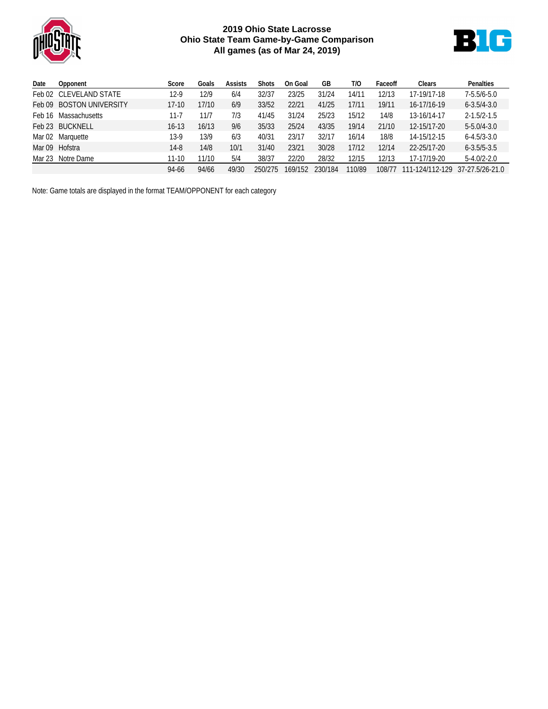

## **2019 Ohio State Lacrosse Ohio State Team Game-by-Game Comparison All games (as of Mar 24, 2019)**



| Date | Opponent                 | Score     | Goals | Assists | <b>Shots</b> | On Goal | GB      | T/O    | Faceoff | Clears          | Penalties         |
|------|--------------------------|-----------|-------|---------|--------------|---------|---------|--------|---------|-----------------|-------------------|
|      | Feb 02 CLEVELAND STATE   | $12-9$    | 12/9  | 6/4     | 32/37        | 23/25   | 31/24   | 14/11  | 12/13   | 17-19/17-18     | $7 - 5.5/6 - 5.0$ |
|      | Feb 09 BOSTON UNIVERSITY | $17-10$   | 17/10 | 6/9     | 33/52        | 22/21   | 41/25   | 17/11  | 19/11   | 16-17/16-19     | $6 - 3.5/4 - 3.0$ |
|      | Feb 16 Massachusetts     | $11 - 7$  | 11/7  | 7/3     | 41/45        | 31/24   | 25/23   | 15/12  | 14/8    | 13-16/14-17     | $2 - 1.5/2 - 1.5$ |
|      | Feb 23 BUCKNELL          | $16 - 13$ | 16/13 | 9/6     | 35/33        | 25/24   | 43/35   | 19/14  | 21/10   | 12-15/17-20     | $5 - 5.0/4 - 3.0$ |
|      | Mar 02 Marquette         | $13-9$    | 13/9  | 6/3     | 40/31        | 23/17   | 32/17   | 16/14  | 18/8    | 14-15/12-15     | $6 - 4.5/3 - 3.0$ |
|      | Mar 09 Hofstra           | 14-8      | 14/8  | 10/1    | 31/40        | 23/21   | 30/28   | 17/12  | 12/14   | 22-25/17-20     | $6 - 3.5/5 - 3.5$ |
|      | Mar 23 Notre Dame        | $11 - 10$ | 11/10 | 5/4     | 38/37        | 22/20   | 28/32   | 12/15  | 12/13   | 17-17/19-20     | $5 - 4.0/2 - 2.0$ |
|      |                          | 94-66     | 94/66 | 49/30   | 250/275      | 169/152 | 230/184 | 110/89 | 108/77  | 111-124/112-129 | 37-27.5/26-21.0   |

Note: Game totals are displayed in the format TEAM/OPPONENT for each category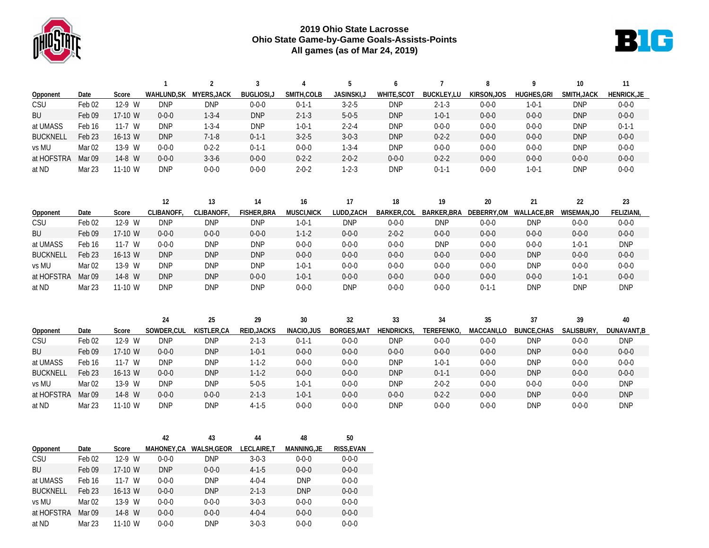

## **2019 Ohio State Lacrosse Ohio State Game-by-Game Goals-Assists-Points All games (as of Mar 24, 2019)**



|                 |                   |          | $\mathbf{1}$            | $\overline{2}$ | $\overline{3}$    |                    | 5                  | 6                 | 7                  | 8           | 9                  | 10          | 11                 |
|-----------------|-------------------|----------|-------------------------|----------------|-------------------|--------------------|--------------------|-------------------|--------------------|-------------|--------------------|-------------|--------------------|
| Opponent        | Date              | Score    | WAHLUND, SK MYERS, JACK |                | <b>BUGLIOSI,J</b> | SMITH, COLB        | <b>JASINSKI,J</b>  | WHITE, SCOT       | <b>BUCKLEY,LU</b>  | KIRSON, JOS | <b>HUGHES, GRI</b> | SMITH, JACK | <b>HENRICK, JE</b> |
| CSU             | Feb <sub>02</sub> | 12-9 W   | <b>DNP</b>              | <b>DNP</b>     | $0 - 0 - 0$       | $0 - 1 - 1$        | $3 - 2 - 5$        | <b>DNP</b>        | $2 - 1 - 3$        | $0 - 0 - 0$ | $1 - 0 - 1$        | <b>DNP</b>  | $0 - 0 - 0$        |
| BU              | Feb <sub>09</sub> | 17-10 W  | $0 - 0 - 0$             | $1 - 3 - 4$    | <b>DNP</b>        | $2 - 1 - 3$        | $5 - 0 - 5$        | <b>DNP</b>        | $1 - 0 - 1$        | $0 - 0 - 0$ | $0 - 0 - 0$        | <b>DNP</b>  | $0 - 0 - 0$        |
| at UMASS        | Feb <sub>16</sub> | $11-7$ W | <b>DNP</b>              | $1 - 3 - 4$    | <b>DNP</b>        | $1 - 0 - 1$        | $2 - 2 - 4$        | <b>DNP</b>        | $0 - 0 - 0$        | $0 - 0 - 0$ | $0 - 0 - 0$        | <b>DNP</b>  | $0 - 1 - 1$        |
| <b>BUCKNELL</b> | Feb <sub>23</sub> | 16-13 W  | <b>DNP</b>              | $7 - 1 - 8$    | $0 - 1 - 1$       | $3 - 2 - 5$        | $3 - 0 - 3$        | <b>DNP</b>        | $0 - 2 - 2$        | $0 - 0 - 0$ | $0 - 0 - 0$        | <b>DNP</b>  | $0 - 0 - 0$        |
| vs MU           | Mar <sub>02</sub> | 13-9 W   | $0 - 0 - 0$             | $0 - 2 - 2$    | $0 - 1 - 1$       | $0 - 0 - 0$        | $1 - 3 - 4$        | <b>DNP</b>        | $0 - 0 - 0$        | $0 - 0 - 0$ | $0 - 0 - 0$        | <b>DNP</b>  | $0 - 0 - 0$        |
| at HOFSTRA      | Mar 09            | 14-8 W   | $0 - 0 - 0$             | $3 - 3 - 6$    | $0 - 0 - 0$       | $0 - 2 - 2$        | $2 - 0 - 2$        | $0 - 0 - 0$       | $0 - 2 - 2$        | $0 - 0 - 0$ | $0 - 0 - 0$        | $0 - 0 - 0$ | $0 - 0 - 0$        |
| at ND           | Mar 23            | 11-10 W  | <b>DNP</b>              | $0 - 0 - 0$    | $0 - 0 - 0$       | $2 - 0 - 2$        | $1 - 2 - 3$        | <b>DNP</b>        | $0 - 1 - 1$        | $0 - 0 - 0$ | $1 - 0 - 1$        | <b>DNP</b>  | $0 - 0 - 0$        |
|                 |                   |          |                         |                |                   |                    |                    |                   |                    |             |                    |             |                    |
|                 |                   |          | 12                      | 13             | 14                | 16                 | 17                 | 18                | 19                 | 20          | 21                 | 22          | 23                 |
| Opponent        | Date              | Score    | CLIBANOFF,              | CLIBANOFF,     | FISHER, BRA       | MUSCI, NICK        | LUDD, ZACH         | <b>BARKER.COL</b> | <b>BARKER, BRA</b> | DEBERRY.OM  | <b>WALLACE,BR</b>  | WISEMAN, JO | FELIZIANI,         |
| CSU             | Feb <sub>02</sub> | 12-9 W   | <b>DNP</b>              | <b>DNP</b>     | <b>DNP</b>        | $1 - 0 - 1$        | <b>DNP</b>         | $0 - 0 - 0$       | <b>DNP</b>         | $0 - 0 - 0$ | <b>DNP</b>         | $0 - 0 - 0$ | $0 - 0 - 0$        |
| BU              | Feb 09            | 17-10 W  | $0 - 0 - 0$             | $0 - 0 - 0$    | $0 - 0 - 0$       | $1 - 1 - 2$        | $0 - 0 - 0$        | $2 - 0 - 2$       | $0 - 0 - 0$        | $0 - 0 - 0$ | $0 - 0 - 0$        | $0 - 0 - 0$ | $0 - 0 - 0$        |
| at UMASS        | Feb 16            | $11-7$ W | $0 - 0 - 0$             | <b>DNP</b>     | <b>DNP</b>        | $0 - 0 - 0$        | $0 - 0 - 0$        | $0 - 0 - 0$       | <b>DNP</b>         | $0 - 0 - 0$ | $0 - 0 - 0$        | $1 - 0 - 1$ | <b>DNP</b>         |
| <b>BUCKNELL</b> | Feb <sub>23</sub> | 16-13 W  | <b>DNP</b>              | <b>DNP</b>     | <b>DNP</b>        | $0 - 0 - 0$        | $0 - 0 - 0$        | $0 - 0 - 0$       | $0 - 0 - 0$        | $0 - 0 - 0$ | <b>DNP</b>         | $0 - 0 - 0$ | $0 - 0 - 0$        |
| vs MU           | Mar <sub>02</sub> | 13-9 W   | <b>DNP</b>              | <b>DNP</b>     | <b>DNP</b>        | $1 - 0 - 1$        | $0 - 0 - 0$        | $0 - 0 - 0$       | $0 - 0 - 0$        | $0 - 0 - 0$ | <b>DNP</b>         | $0 - 0 - 0$ | $0 - 0 - 0$        |
| at HOFSTRA      | Mar 09            | 14-8 W   | <b>DNP</b>              | <b>DNP</b>     | $0 - 0 - 0$       | $1 - 0 - 1$        | $0 - 0 - 0$        | $0 - 0 - 0$       | $0 - 0 - 0$        | $0 - 0 - 0$ | $0 - 0 - 0$        | $1 - 0 - 1$ | $0 - 0 - 0$        |
| at ND           | Mar 23            | 11-10 W  | <b>DNP</b>              | <b>DNP</b>     | <b>DNP</b>        | $0 - 0 - 0$        | <b>DNP</b>         | $0 - 0 - 0$       | $0 - 0 - 0$        | $0 - 1 - 1$ | <b>DNP</b>         | <b>DNP</b>  | <b>DNP</b>         |
|                 |                   |          |                         |                |                   |                    |                    |                   |                    |             |                    |             |                    |
|                 |                   |          | 24                      | 25             | 29                | 30                 | 32                 | 33                | 34                 | 35          | 37                 | 39          | 40                 |
| Opponent        | Date              | Score    | SOWDER, CUL             | KISTLER, CA    | REID, JACKS       | <b>INACIO, JUS</b> | <b>BORGES, MAT</b> | <b>HENDRICKS</b>  | TEREFENKO,         | MACCANI,LO  | <b>BUNCE, CHAS</b> | SALISBURY,  | DUNAVANT, B        |
| CSU             | Feb <sub>02</sub> | 12-9 W   | <b>DNP</b>              | <b>DNP</b>     | $2 - 1 - 3$       | $0 - 1 - 1$        | $0 - 0 - 0$        | <b>DNP</b>        | $0 - 0 - 0$        | $0 - 0 - 0$ | <b>DNP</b>         | $0 - 0 - 0$ | <b>DNP</b>         |
| BU              | Feb <sub>09</sub> | 17-10 W  | $0 - 0 - 0$             | <b>DNP</b>     | $1 - 0 - 1$       | $0 - 0 - 0$        | $0 - 0 - 0$        | $0 - 0 - 0$       | $0 - 0 - 0$        | $0 - 0 - 0$ | <b>DNP</b>         | $0 - 0 - 0$ | $0 - 0 - 0$        |
| at UMASS        | Feb <sub>16</sub> | $11-7$ W | <b>DNP</b>              | <b>DNP</b>     | $1 - 1 - 2$       | $0 - 0 - 0$        | $0 - 0 - 0$        | <b>DNP</b>        | $1 - 0 - 1$        | $0 - 0 - 0$ | <b>DNP</b>         | $0 - 0 - 0$ | $0 - 0 - 0$        |
| <b>BUCKNELL</b> | Feb <sub>23</sub> | 16-13 W  | $0 - 0 - 0$             | <b>DNP</b>     | $1 - 1 - 2$       | $0 - 0 - 0$        | $0 - 0 - 0$        | <b>DNP</b>        | $0 - 1 - 1$        | $0 - 0 - 0$ | <b>DNP</b>         | $0 - 0 - 0$ | $0 - 0 - 0$        |
| vs MU           | Mar <sub>02</sub> | 13-9 W   | <b>DNP</b>              | <b>DNP</b>     | $5 - 0 - 5$       | $1 - 0 - 1$        | $0 - 0 - 0$        | <b>DNP</b>        | $2 - 0 - 2$        | $0 - 0 - 0$ | $0 - 0 - 0$        | $0 - 0 - 0$ | <b>DNP</b>         |
| at HOFSTRA      | Mar 09            | 14-8 W   | $0 - 0 - 0$             | $0 - 0 - 0$    | $2 - 1 - 3$       | $1 - 0 - 1$        | $0 - 0 - 0$        | $0 - 0 - 0$       | $0 - 2 - 2$        | $0 - 0 - 0$ | <b>DNP</b>         | $0 - 0 - 0$ | <b>DNP</b>         |
| at ND           | Mar 23            | 11-10 W  | <b>DNP</b>              | <b>DNP</b>     | $4 - 1 - 5$       | $0 - 0 - 0$        | $0 - 0 - 0$        | <b>DNP</b>        | $0 - 0 - 0$        | $0 - 0 - 0$ | <b>DNP</b>         | $0 - 0 - 0$ | <b>DNP</b>         |

|                 |                   |           | 42          | 43          | 44          | 48                | 50          |
|-----------------|-------------------|-----------|-------------|-------------|-------------|-------------------|-------------|
| Opponent        | Date              | Score     | MAHONEY.CA  | WALSH.GEOR  | LECLAIRE.T  | <b>MANNING.JE</b> | RISS, EVAN  |
| CSU             | Feb <sub>02</sub> | 12-9 W    | $0 - 0 - 0$ | <b>DNP</b>  | $3 - 0 - 3$ | $0 - 0 - 0$       | $0 - 0 - 0$ |
| <b>BU</b>       | Feb <sub>09</sub> | 17-10 W   | <b>DNP</b>  | $0 - 0 - 0$ | $4 - 1 - 5$ | $0 - 0 - 0$       | $0 - 0 - 0$ |
| at UMASS        | Feb 16            | $11-7$ W  | $0 - 0 - 0$ | <b>DNP</b>  | $4 - 0 - 4$ | <b>DNP</b>        | $0 - 0 - 0$ |
| <b>BUCKNELL</b> | Feb 23            | $16-13$ W | $0 - 0 - 0$ | <b>DNP</b>  | $2 - 1 - 3$ | <b>DNP</b>        | $0 - 0 - 0$ |
| vs MU           | Mar <sub>02</sub> | 13-9 W    | $0 - 0 - 0$ | $0 - 0 - 0$ | $3 - 0 - 3$ | $0 - 0 - 0$       | $0 - 0 - 0$ |
| at HOFSTRA      | Mar <sub>09</sub> | 14-8 W    | $0 - 0 - 0$ | $0 - 0 - 0$ | $4 - 0 - 4$ | $0 - 0 - 0$       | $0 - 0 - 0$ |
| at ND           | Mar 23            | $11-10$ W | $0 - 0 - 0$ | <b>DNP</b>  | $3 - 0 - 3$ | $0 - 0 - 0$       | $0 - 0 - 0$ |